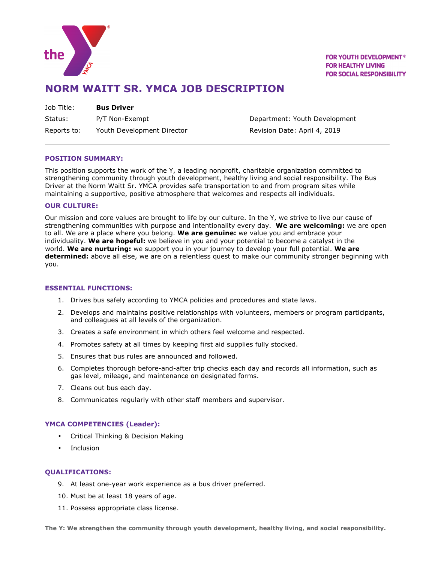

**FOR YOUTH DEVELOPMENT<sup>®</sup> FOR HEALTHY LIVING FOR SOCIAL RESPONSIBILITY** 

# **NORM WAITT SR. YMCA JOB DESCRIPTION**

Job Title: **Bus Driver**  Status: P/T Non-Exempt Contains the Department: Youth Development Reports to: Youth Development Director The Revision Date: April 4, 2019

### **POSITION SUMMARY:**

This position supports the work of the Y, a leading nonprofit, charitable organization committed to strengthening community through youth development, healthy living and social responsibility. The Bus Driver at the Norm Waitt Sr. YMCA provides safe transportation to and from program sites while maintaining a supportive, positive atmosphere that welcomes and respects all individuals.

### **OUR CULTURE:**

Our mission and core values are brought to life by our culture. In the Y, we strive to live our cause of strengthening communities with purpose and intentionality every day. **We are welcoming:** we are open to all. We are a place where you belong. **We are genuine:** we value you and embrace your individuality. **We are hopeful:** we believe in you and your potential to become a catalyst in the world. **We are nurturing:** we support you in your journey to develop your full potential. **We are determined:** above all else, we are on a relentless quest to make our community stronger beginning with you.

### **ESSENTIAL FUNCTIONS:**

- 1. Drives bus safely according to YMCA policies and procedures and state laws.
- 2. Develops and maintains positive relationships with volunteers, members or program participants, and colleagues at all levels of the organization.
- 3. Creates a safe environment in which others feel welcome and respected.
- 4. Promotes safety at all times by keeping first aid supplies fully stocked.
- 5. Ensures that bus rules are announced and followed.
- 6. Completes thorough before-and-after trip checks each day and records all information, such as gas level, mileage, and maintenance on designated forms.
- 7. Cleans out bus each day.
- 8. Communicates regularly with other staff members and supervisor.

# **YMCA COMPETENCIES (Leader):**

- Critical Thinking & Decision Making
- Inclusion

# **QUALIFICATIONS:**

- 9. At least one-year work experience as a bus driver preferred.
- 10. Must be at least 18 years of age.
- 11. Possess appropriate class license.

**The Y: We strengthen the community through youth development, healthy living, and social responsibility.**